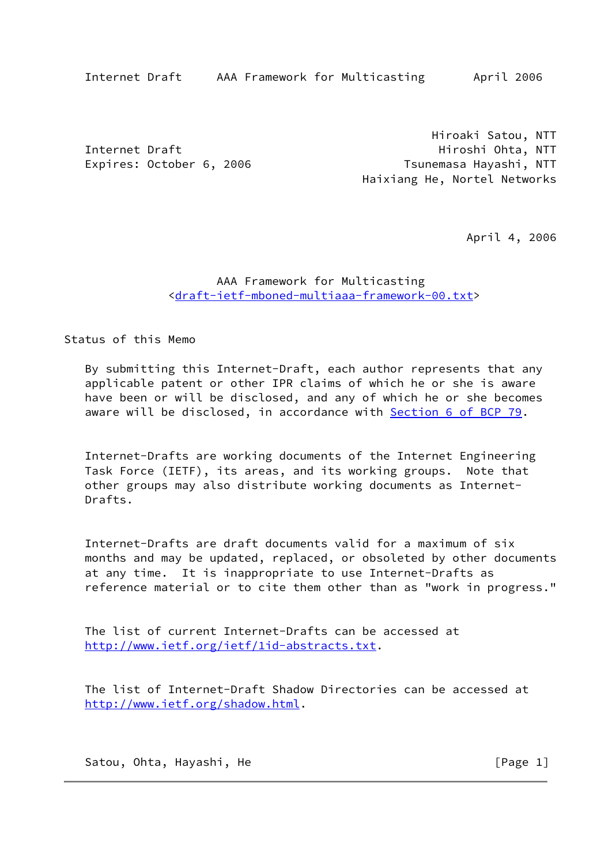Hiroaki Satou, NTT Internet Draft **Hiroshi Ohta, NTT** Expires: October 6, 2006 Tsunemasa Hayashi, NTT Haixiang He, Nortel Networks

April 4, 2006

# AAA Framework for Multicasting [<draft-ietf-mboned-multiaaa-framework-00.txt](https://datatracker.ietf.org/doc/pdf/draft-ietf-mboned-multiaaa-framework-00.txt)>

Status of this Memo

 By submitting this Internet-Draft, each author represents that any applicable patent or other IPR claims of which he or she is aware have been or will be disclosed, and any of which he or she becomes aware will be disclosed, in accordance with Section [6 of BCP 79.](https://datatracker.ietf.org/doc/pdf/bcp79#section-6)

 Internet-Drafts are working documents of the Internet Engineering Task Force (IETF), its areas, and its working groups. Note that other groups may also distribute working documents as Internet- Drafts.

 Internet-Drafts are draft documents valid for a maximum of six months and may be updated, replaced, or obsoleted by other documents at any time. It is inappropriate to use Internet-Drafts as reference material or to cite them other than as "work in progress."

 The list of current Internet-Drafts can be accessed at <http://www.ietf.org/ietf/1id-abstracts.txt>.

 The list of Internet-Draft Shadow Directories can be accessed at <http://www.ietf.org/shadow.html>.

Satou, Ohta, Hayashi, He [Page 1]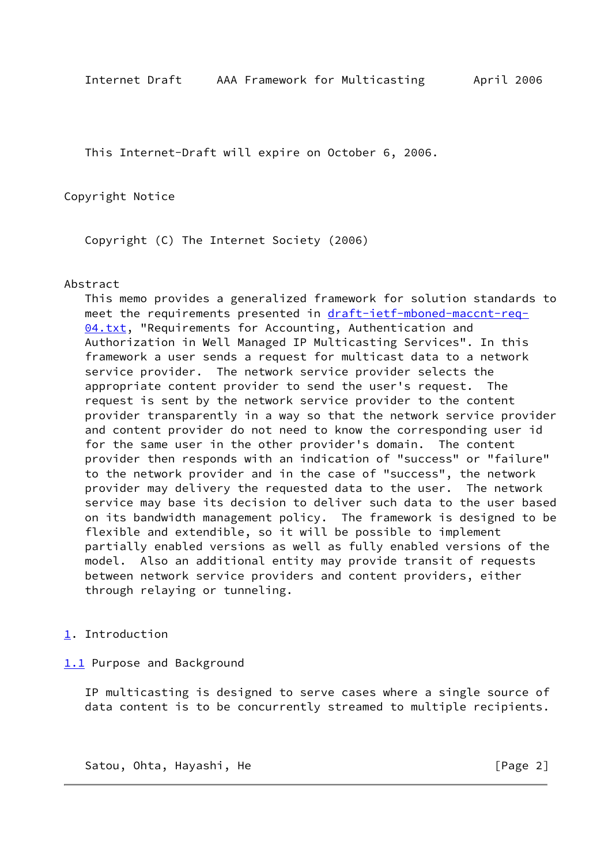This Internet-Draft will expire on October 6, 2006.

# Copyright Notice

Copyright (C) The Internet Society (2006)

## Abstract

 This memo provides a generalized framework for solution standards to meet the requirements presented in [draft-ietf-mboned-maccnt-req-](https://datatracker.ietf.org/doc/pdf/draft-ietf-mboned-maccnt-req-04.txt) [04.txt](https://datatracker.ietf.org/doc/pdf/draft-ietf-mboned-maccnt-req-04.txt), "Requirements for Accounting, Authentication and Authorization in Well Managed IP Multicasting Services". In this framework a user sends a request for multicast data to a network service provider. The network service provider selects the appropriate content provider to send the user's request. The request is sent by the network service provider to the content provider transparently in a way so that the network service provider and content provider do not need to know the corresponding user id for the same user in the other provider's domain. The content provider then responds with an indication of "success" or "failure" to the network provider and in the case of "success", the network provider may delivery the requested data to the user. The network service may base its decision to deliver such data to the user based on its bandwidth management policy. The framework is designed to be flexible and extendible, so it will be possible to implement partially enabled versions as well as fully enabled versions of the model. Also an additional entity may provide transit of requests between network service providers and content providers, either through relaying or tunneling.

# <span id="page-1-0"></span>[1](#page-1-0). Introduction

### <span id="page-1-1"></span>[1.1](#page-1-1) Purpose and Background

 IP multicasting is designed to serve cases where a single source of data content is to be concurrently streamed to multiple recipients.

Satou, Ohta, Hayashi, He [Page 2]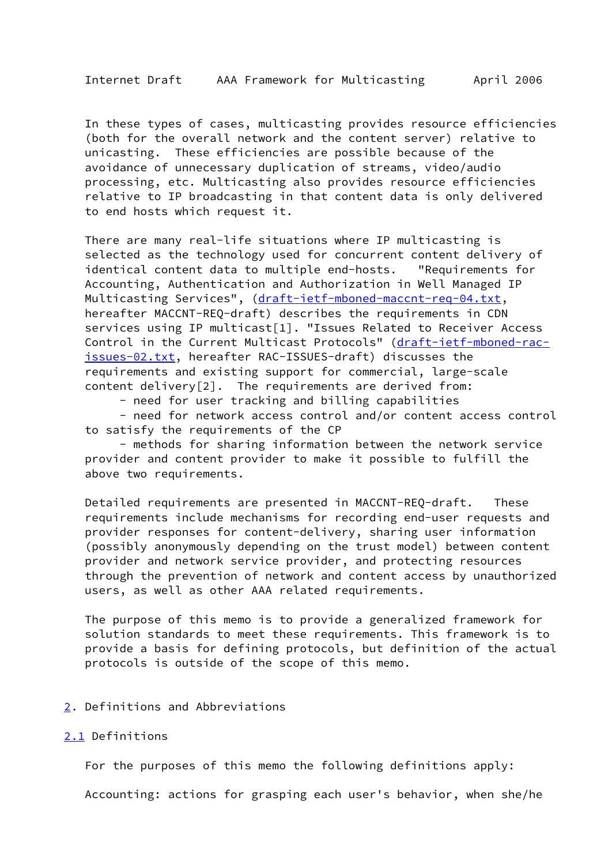In these types of cases, multicasting provides resource efficiencies (both for the overall network and the content server) relative to unicasting. These efficiencies are possible because of the avoidance of unnecessary duplication of streams, video/audio processing, etc. Multicasting also provides resource efficiencies relative to IP broadcasting in that content data is only delivered to end hosts which request it.

 There are many real-life situations where IP multicasting is selected as the technology used for concurrent content delivery of identical content data to multiple end-hosts. "Requirements for Accounting, Authentication and Authorization in Well Managed IP Multicasting Services", [\(draft-ietf-mboned-maccnt-req-04.txt](https://datatracker.ietf.org/doc/pdf/draft-ietf-mboned-maccnt-req-04.txt), hereafter MACCNT-REQ-draft) describes the requirements in CDN services using IP multicast[1]. "Issues Related to Receiver Access Control in the Current Multicast Protocols" [\(draft-ietf-mboned-rac](https://datatracker.ietf.org/doc/pdf/draft-ietf-mboned-rac-issues-02.txt) [issues-02.txt](https://datatracker.ietf.org/doc/pdf/draft-ietf-mboned-rac-issues-02.txt), hereafter RAC-ISSUES-draft) discusses the requirements and existing support for commercial, large-scale content delivery[2]. The requirements are derived from:

- need for user tracking and billing capabilities

 - need for network access control and/or content access control to satisfy the requirements of the CP

 - methods for sharing information between the network service provider and content provider to make it possible to fulfill the above two requirements.

 Detailed requirements are presented in MACCNT-REQ-draft. These requirements include mechanisms for recording end-user requests and provider responses for content-delivery, sharing user information (possibly anonymously depending on the trust model) between content provider and network service provider, and protecting resources through the prevention of network and content access by unauthorized users, as well as other AAA related requirements.

 The purpose of this memo is to provide a generalized framework for solution standards to meet these requirements. This framework is to provide a basis for defining protocols, but definition of the actual protocols is outside of the scope of this memo.

# <span id="page-2-0"></span>[2](#page-2-0). Definitions and Abbreviations

### <span id="page-2-1"></span>[2.1](#page-2-1) Definitions

For the purposes of this memo the following definitions apply:

Accounting: actions for grasping each user's behavior, when she/he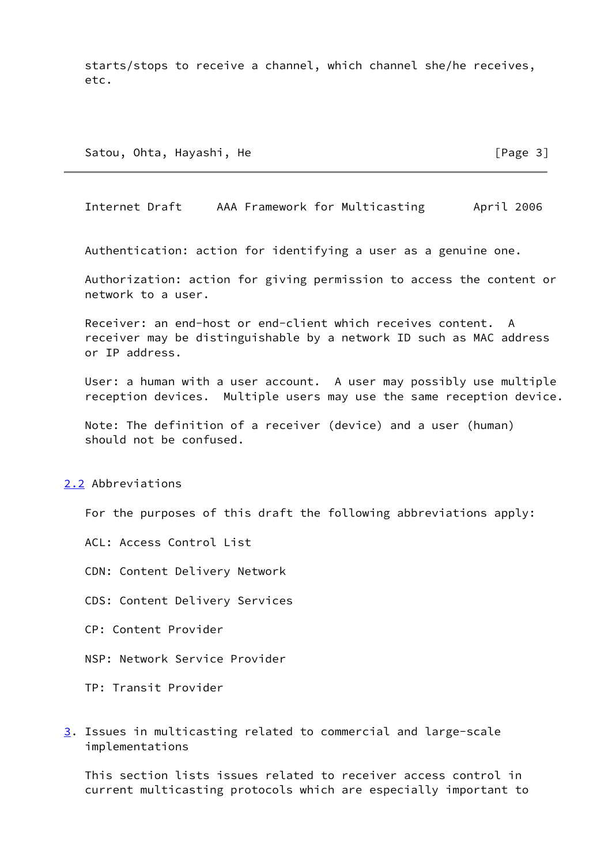starts/stops to receive a channel, which channel she/he receives, etc.

Satou, Ohta, Hayashi, He **contract of the set of the contract of the contract of the contract of the contract of the contract of the contract of the contract of the contract of the contract of the contract of the contract** 

Internet Draft AAA Framework for Multicasting April 2006

Authentication: action for identifying a user as a genuine one.

 Authorization: action for giving permission to access the content or network to a user.

 Receiver: an end-host or end-client which receives content. A receiver may be distinguishable by a network ID such as MAC address or IP address.

 User: a human with a user account. A user may possibly use multiple reception devices. Multiple users may use the same reception device.

 Note: The definition of a receiver (device) and a user (human) should not be confused.

<span id="page-3-0"></span>[2.2](#page-3-0) Abbreviations

For the purposes of this draft the following abbreviations apply:

ACL: Access Control List

CDN: Content Delivery Network

CDS: Content Delivery Services

CP: Content Provider

NSP: Network Service Provider

TP: Transit Provider

<span id="page-3-1"></span>[3](#page-3-1). Issues in multicasting related to commercial and large-scale implementations

 This section lists issues related to receiver access control in current multicasting protocols which are especially important to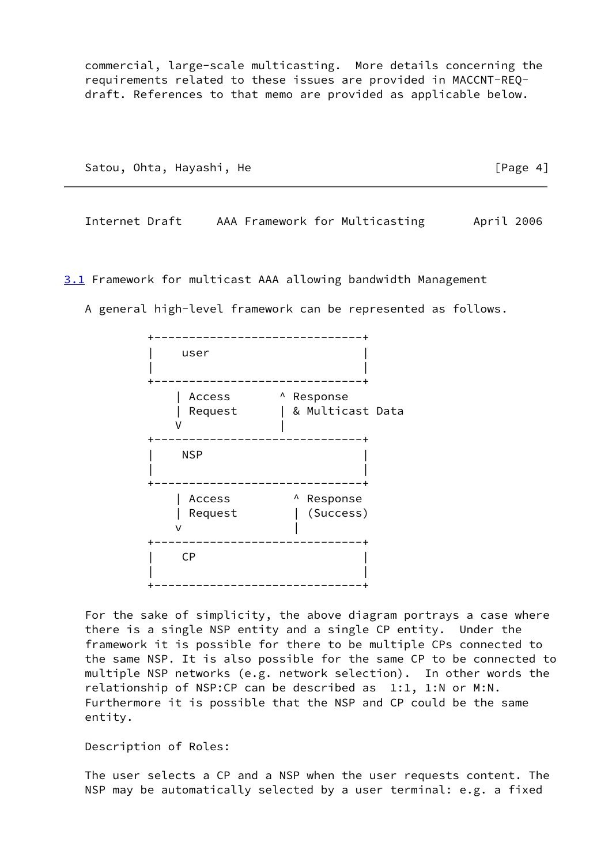commercial, large-scale multicasting. More details concerning the requirements related to these issues are provided in MACCNT-REQ draft. References to that memo are provided as applicable below.

```
Satou, Ohta, Hayashi, He contract in the contract of the contract of the contract of the contract of the contract of the contract of the contract of [Page 4]
```
Internet Draft AAA Framework for Multicasting April 2006

<span id="page-4-0"></span>[3.1](#page-4-0) Framework for multicast AAA allowing bandwidth Management

A general high-level framework can be represented as follows.



 For the sake of simplicity, the above diagram portrays a case where there is a single NSP entity and a single CP entity. Under the framework it is possible for there to be multiple CPs connected to the same NSP. It is also possible for the same CP to be connected to multiple NSP networks (e.g. network selection). In other words the relationship of NSP:CP can be described as 1:1, 1:N or M:N. Furthermore it is possible that the NSP and CP could be the same entity.

Description of Roles:

 The user selects a CP and a NSP when the user requests content. The NSP may be automatically selected by a user terminal: e.g. a fixed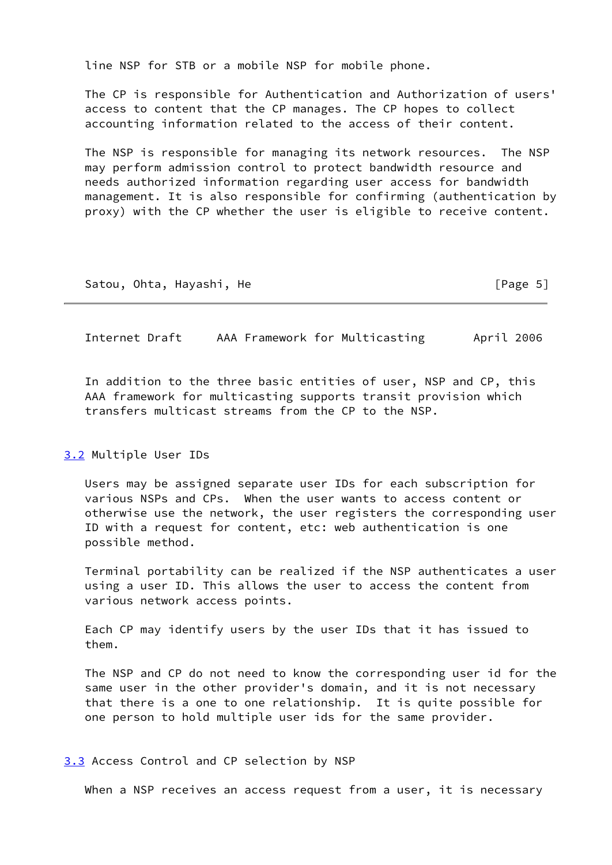line NSP for STB or a mobile NSP for mobile phone.

 The CP is responsible for Authentication and Authorization of users' access to content that the CP manages. The CP hopes to collect accounting information related to the access of their content.

 The NSP is responsible for managing its network resources. The NSP may perform admission control to protect bandwidth resource and needs authorized information regarding user access for bandwidth management. It is also responsible for confirming (authentication by proxy) with the CP whether the user is eligible to receive content.

Satou, Ohta, Hayashi, He [Page 5]

Internet Draft AAA Framework for Multicasting April 2006

 In addition to the three basic entities of user, NSP and CP, this AAA framework for multicasting supports transit provision which transfers multicast streams from the CP to the NSP.

## <span id="page-5-0"></span>[3.2](#page-5-0) Multiple User IDs

 Users may be assigned separate user IDs for each subscription for various NSPs and CPs. When the user wants to access content or otherwise use the network, the user registers the corresponding user ID with a request for content, etc: web authentication is one possible method.

 Terminal portability can be realized if the NSP authenticates a user using a user ID. This allows the user to access the content from various network access points.

 Each CP may identify users by the user IDs that it has issued to them.

 The NSP and CP do not need to know the corresponding user id for the same user in the other provider's domain, and it is not necessary that there is a one to one relationship. It is quite possible for one person to hold multiple user ids for the same provider.

### <span id="page-5-1"></span>[3.3](#page-5-1) Access Control and CP selection by NSP

When a NSP receives an access request from a user, it is necessary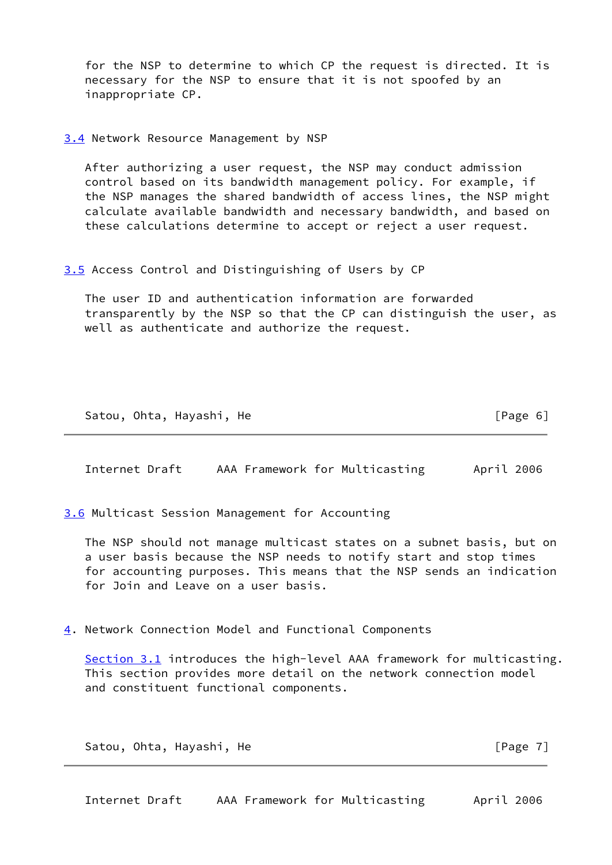for the NSP to determine to which CP the request is directed. It is necessary for the NSP to ensure that it is not spoofed by an inappropriate CP.

## <span id="page-6-0"></span>[3.4](#page-6-0) Network Resource Management by NSP

 After authorizing a user request, the NSP may conduct admission control based on its bandwidth management policy. For example, if the NSP manages the shared bandwidth of access lines, the NSP might calculate available bandwidth and necessary bandwidth, and based on these calculations determine to accept or reject a user request.

# <span id="page-6-1"></span>[3.5](#page-6-1) Access Control and Distinguishing of Users by CP

 The user ID and authentication information are forwarded transparently by the NSP so that the CP can distinguish the user, as well as authenticate and authorize the request.

Satou, Ohta, Hayashi, He **Example 2018** [Page 6]

Internet Draft AAA Framework for Multicasting April 2006

<span id="page-6-2"></span>[3.6](#page-6-2) Multicast Session Management for Accounting

 The NSP should not manage multicast states on a subnet basis, but on a user basis because the NSP needs to notify start and stop times for accounting purposes. This means that the NSP sends an indication for Join and Leave on a user basis.

<span id="page-6-3"></span>[4](#page-6-3). Network Connection Model and Functional Components

[Section 3.1](#page-4-0) introduces the high-level AAA framework for multicasting. This section provides more detail on the network connection model and constituent functional components.

Satou, Ohta, Hayashi, He [Page 7]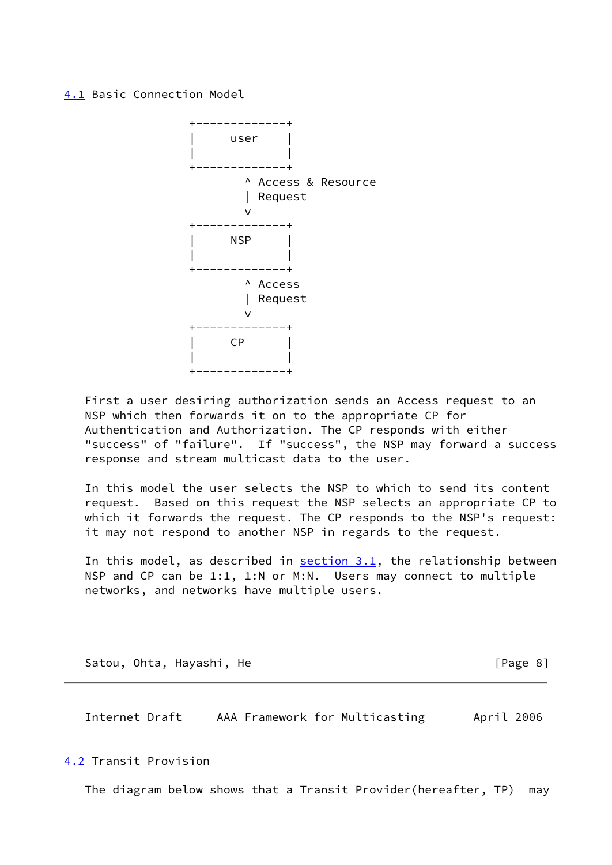### <span id="page-7-0"></span>[4.1](#page-7-0) Basic Connection Model



 First a user desiring authorization sends an Access request to an NSP which then forwards it on to the appropriate CP for Authentication and Authorization. The CP responds with either "success" of "failure". If "success", the NSP may forward a success response and stream multicast data to the user.

 In this model the user selects the NSP to which to send its content request. Based on this request the NSP selects an appropriate CP to which it forwards the request. The CP responds to the NSP's request: it may not respond to another NSP in regards to the request.

In this model, as described in [section 3.1](#page-4-0), the relationship between NSP and CP can be 1:1, 1:N or M:N. Users may connect to multiple networks, and networks have multiple users.

Satou, Ohta, Hayashi, He **Example 2018** [Page 8]

Internet Draft AAA Framework for Multicasting April 2006

<span id="page-7-1"></span>[4.2](#page-7-1) Transit Provision

The diagram below shows that a Transit Provider(hereafter, TP) may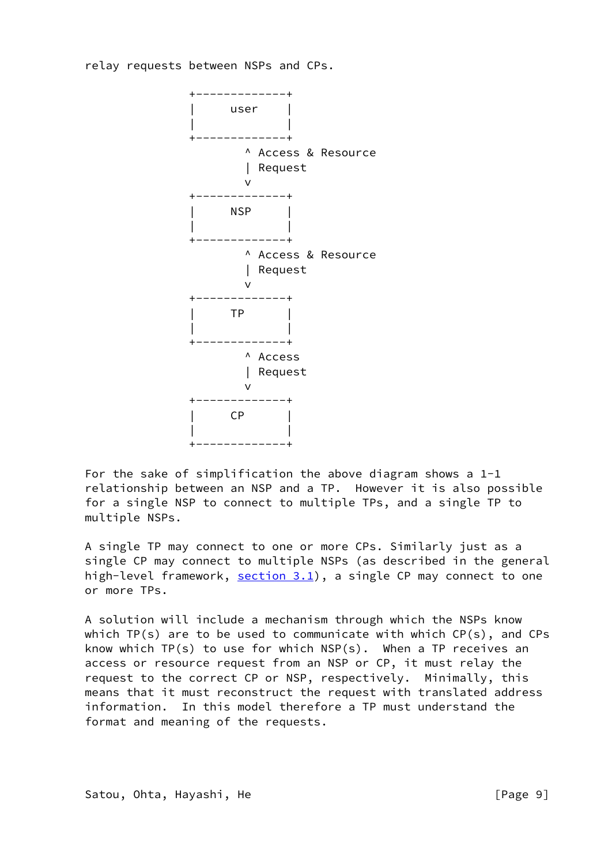relay requests between NSPs and CPs.



 For the sake of simplification the above diagram shows a 1-1 relationship between an NSP and a TP. However it is also possible for a single NSP to connect to multiple TPs, and a single TP to multiple NSPs.

 A single TP may connect to one or more CPs. Similarly just as a single CP may connect to multiple NSPs (as described in the general high-level framework, [section 3.1](#page-4-0)), a single CP may connect to one or more TPs.

 A solution will include a mechanism through which the NSPs know which  $TP(s)$  are to be used to communicate with which  $CP(s)$ , and  $CPs$ know which  $TP(s)$  to use for which  $NSP(s)$ . When a TP receives an access or resource request from an NSP or CP, it must relay the request to the correct CP or NSP, respectively. Minimally, this means that it must reconstruct the request with translated address information. In this model therefore a TP must understand the format and meaning of the requests.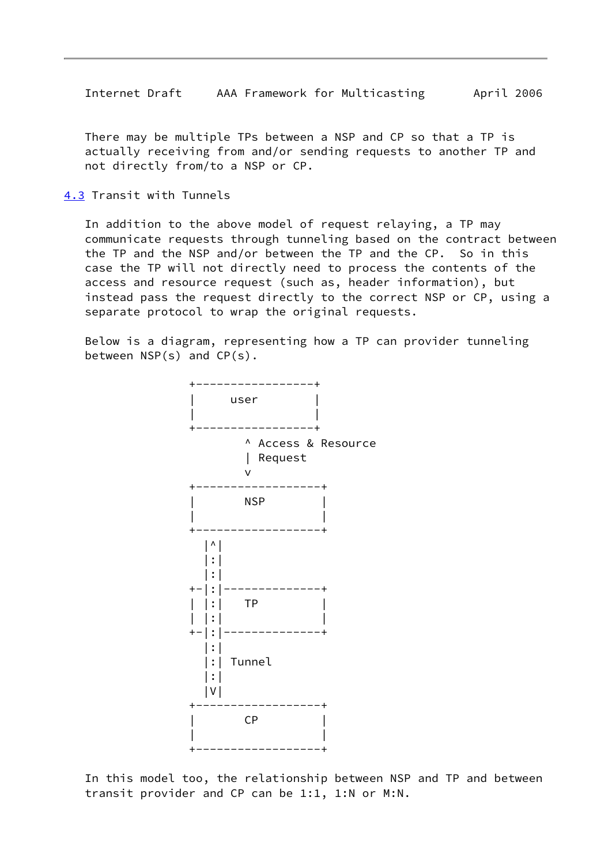Internet Draft AAA Framework for Multicasting April 2006

 There may be multiple TPs between a NSP and CP so that a TP is actually receiving from and/or sending requests to another TP and not directly from/to a NSP or CP.

<span id="page-9-0"></span>[4.3](#page-9-0) Transit with Tunnels

 In addition to the above model of request relaying, a TP may communicate requests through tunneling based on the contract between the TP and the NSP and/or between the TP and the CP. So in this case the TP will not directly need to process the contents of the access and resource request (such as, header information), but instead pass the request directly to the correct NSP or CP, using a separate protocol to wrap the original requests.

 Below is a diagram, representing how a TP can provider tunneling between NSP(s) and CP(s).



 In this model too, the relationship between NSP and TP and between transit provider and CP can be 1:1, 1:N or M:N.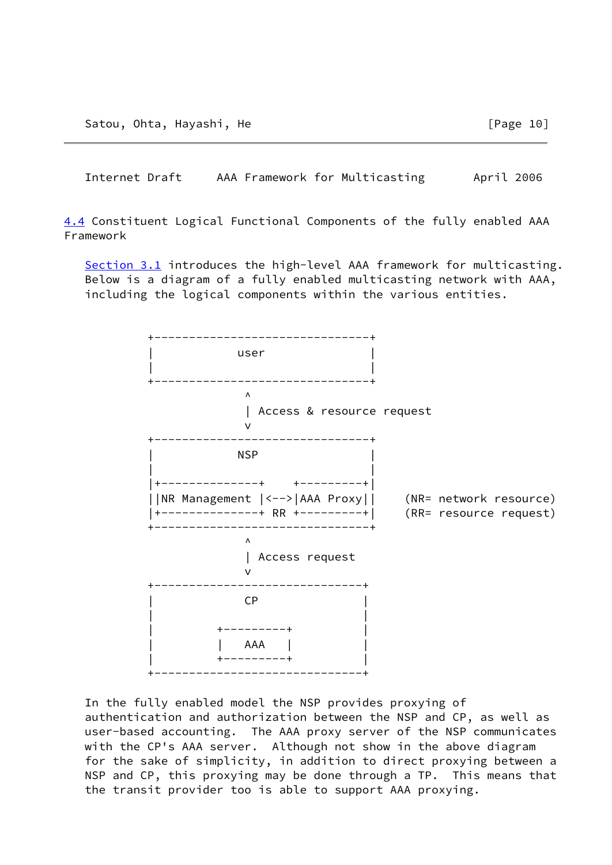Internet Draft AAA Framework for Multicasting April 2006

<span id="page-10-0"></span>[4.4](#page-10-0) Constituent Logical Functional Components of the fully enabled AAA Framework

[Section 3.1](#page-4-0) introduces the high-level AAA framework for multicasting. Below is a diagram of a fully enabled multicasting network with AAA, including the logical components within the various entities.



 In the fully enabled model the NSP provides proxying of authentication and authorization between the NSP and CP, as well as user-based accounting. The AAA proxy server of the NSP communicates with the CP's AAA server. Although not show in the above diagram for the sake of simplicity, in addition to direct proxying between a NSP and CP, this proxying may be done through a TP. This means that the transit provider too is able to support AAA proxying.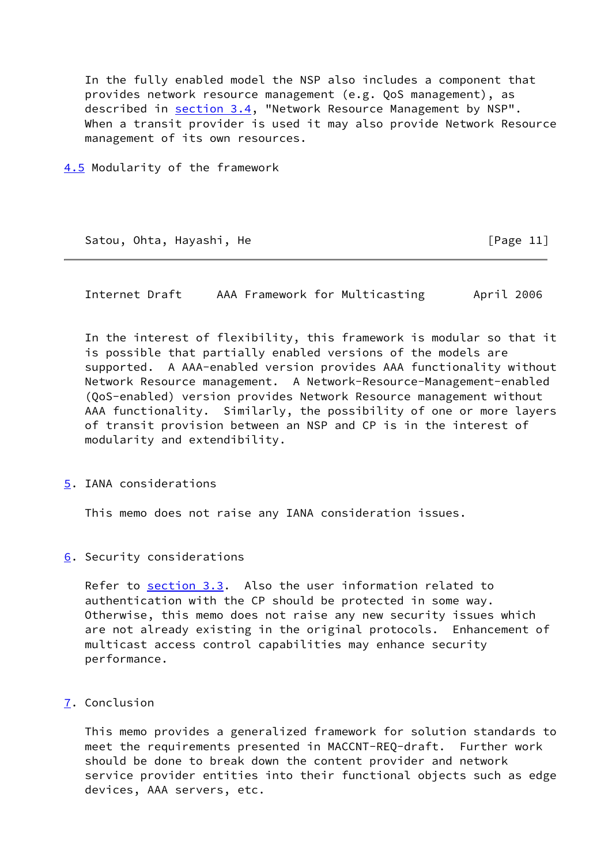In the fully enabled model the NSP also includes a component that provides network resource management (e.g. QoS management), as described in [section 3.4](#page-6-0), "Network Resource Management by NSP". When a transit provider is used it may also provide Network Resource management of its own resources.

<span id="page-11-0"></span>[4.5](#page-11-0) Modularity of the framework

Satou, Ohta, Hayashi, He [Page 11]

Internet Draft AAA Framework for Multicasting April 2006

 In the interest of flexibility, this framework is modular so that it is possible that partially enabled versions of the models are supported. A AAA-enabled version provides AAA functionality without Network Resource management. A Network-Resource-Management-enabled (QoS-enabled) version provides Network Resource management without AAA functionality. Similarly, the possibility of one or more layers of transit provision between an NSP and CP is in the interest of modularity and extendibility.

<span id="page-11-1"></span>[5](#page-11-1). IANA considerations

This memo does not raise any IANA consideration issues.

<span id="page-11-2"></span>[6](#page-11-2). Security considerations

 Refer to [section 3.3](#page-5-1). Also the user information related to authentication with the CP should be protected in some way. Otherwise, this memo does not raise any new security issues which are not already existing in the original protocols. Enhancement of multicast access control capabilities may enhance security performance.

<span id="page-11-3"></span>[7](#page-11-3). Conclusion

 This memo provides a generalized framework for solution standards to meet the requirements presented in MACCNT-REQ-draft. Further work should be done to break down the content provider and network service provider entities into their functional objects such as edge devices, AAA servers, etc.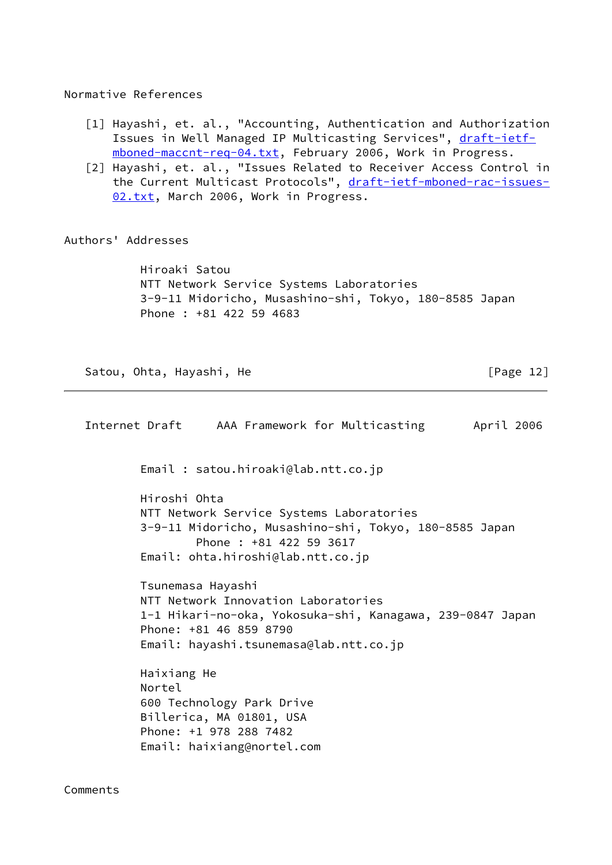#### Normative References

- [1] Hayashi, et. al., "Accounting, Authentication and Authorization Issues in Well Managed IP Multicasting Services", [draft-ietf](https://datatracker.ietf.org/doc/pdf/draft-ietf-mboned-maccnt-req-04.txt) [mboned-maccnt-req-04.txt,](https://datatracker.ietf.org/doc/pdf/draft-ietf-mboned-maccnt-req-04.txt) February 2006, Work in Progress.
- [2] Hayashi, et. al., "Issues Related to Receiver Access Control in the Current Multicast Protocols", [draft-ietf-mboned-rac-issues-](https://datatracker.ietf.org/doc/pdf/draft-ietf-mboned-rac-issues-02.txt) [02.txt](https://datatracker.ietf.org/doc/pdf/draft-ietf-mboned-rac-issues-02.txt), March 2006, Work in Progress.

Authors' Addresses

 Hiroaki Satou NTT Network Service Systems Laboratories 3-9-11 Midoricho, Musashino-shi, Tokyo, 180-8585 Japan Phone : +81 422 59 4683

Satou, Ohta, Hayashi, He **contrary and Contrary Contrary (Page 12**)

 Internet Draft AAA Framework for Multicasting April 2006 Email : satou.hiroaki@lab.ntt.co.jp Hiroshi Ohta NTT Network Service Systems Laboratories 3-9-11 Midoricho, Musashino-shi, Tokyo, 180-8585 Japan Phone : +81 422 59 3617 Email: ohta.hiroshi@lab.ntt.co.jp Tsunemasa Hayashi NTT Network Innovation Laboratories 1-1 Hikari-no-oka, Yokosuka-shi, Kanagawa, 239-0847 Japan Phone: +81 46 859 8790 Email: hayashi.tsunemasa@lab.ntt.co.jp Haixiang He Nortel 600 Technology Park Drive Billerica, MA 01801, USA Phone: +1 978 288 7482 Email: haixiang@nortel.com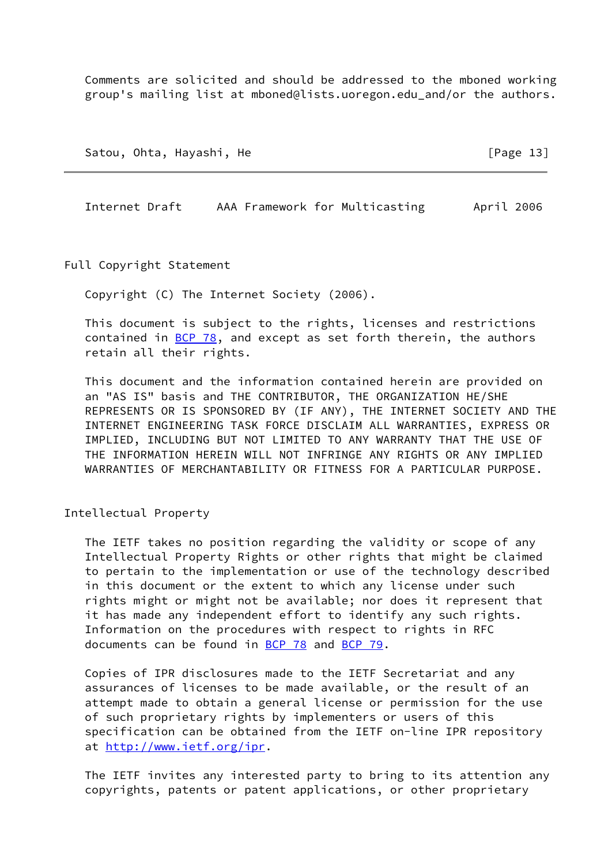Comments are solicited and should be addressed to the mboned working group's mailing list at mboned@lists.uoregon.edu\_and/or the authors.

Satou, Ohta, Hayashi, He [Page 13]

Internet Draft AAA Framework for Multicasting April 2006

Full Copyright Statement

Copyright (C) The Internet Society (2006).

 This document is subject to the rights, licenses and restrictions contained in  $BCP$  78, and except as set forth therein, the authors retain all their rights.

 This document and the information contained herein are provided on an "AS IS" basis and THE CONTRIBUTOR, THE ORGANIZATION HE/SHE REPRESENTS OR IS SPONSORED BY (IF ANY), THE INTERNET SOCIETY AND THE INTERNET ENGINEERING TASK FORCE DISCLAIM ALL WARRANTIES, EXPRESS OR IMPLIED, INCLUDING BUT NOT LIMITED TO ANY WARRANTY THAT THE USE OF THE INFORMATION HEREIN WILL NOT INFRINGE ANY RIGHTS OR ANY IMPLIED WARRANTIES OF MERCHANTABILITY OR FITNESS FOR A PARTICULAR PURPOSE.

Intellectual Property

 The IETF takes no position regarding the validity or scope of any Intellectual Property Rights or other rights that might be claimed to pertain to the implementation or use of the technology described in this document or the extent to which any license under such rights might or might not be available; nor does it represent that it has made any independent effort to identify any such rights. Information on the procedures with respect to rights in RFC documents can be found in [BCP 78](https://datatracker.ietf.org/doc/pdf/bcp78) and [BCP 79](https://datatracker.ietf.org/doc/pdf/bcp79).

 Copies of IPR disclosures made to the IETF Secretariat and any assurances of licenses to be made available, or the result of an attempt made to obtain a general license or permission for the use of such proprietary rights by implementers or users of this specification can be obtained from the IETF on-line IPR repository at <http://www.ietf.org/ipr>.

 The IETF invites any interested party to bring to its attention any copyrights, patents or patent applications, or other proprietary